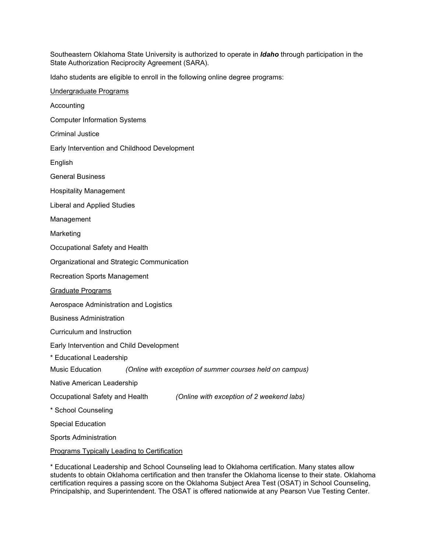Southeastern Oklahoma State University is authorized to operate in *Idaho* through participation in the State Authorization Reciprocity Agreement (SARA).

Idaho students are eligible to enroll in the following online degree programs:

| Undergraduate Programs                                                      |
|-----------------------------------------------------------------------------|
| Accounting                                                                  |
| <b>Computer Information Systems</b>                                         |
| <b>Criminal Justice</b>                                                     |
| Early Intervention and Childhood Development                                |
| English                                                                     |
| <b>General Business</b>                                                     |
| <b>Hospitality Management</b>                                               |
| <b>Liberal and Applied Studies</b>                                          |
| Management                                                                  |
| Marketing                                                                   |
| Occupational Safety and Health                                              |
| Organizational and Strategic Communication                                  |
| <b>Recreation Sports Management</b>                                         |
| Graduate Programs                                                           |
| Aerospace Administration and Logistics                                      |
| <b>Business Administration</b>                                              |
| Curriculum and Instruction                                                  |
| Early Intervention and Child Development                                    |
| * Educational Leadership                                                    |
| Music Education<br>(Online with exception of summer courses held on campus) |
| Native American Leadership                                                  |
| Occupational Safety and Health<br>(Online with exception of 2 weekend labs) |
| * School Counseling                                                         |
| <b>Special Education</b>                                                    |
| <b>Sports Administration</b>                                                |
| Programs Typically Leading to Certification                                 |

\* Educational Leadership and School Counseling lead to Oklahoma certification. Many states allow students to obtain Oklahoma certification and then transfer the Oklahoma license to their state. Oklahoma certification requires a passing score on the Oklahoma Subject Area Test (OSAT) in School Counseling, Principalship, and Superintendent. The OSAT is offered nationwide at any Pearson Vue Testing Center.